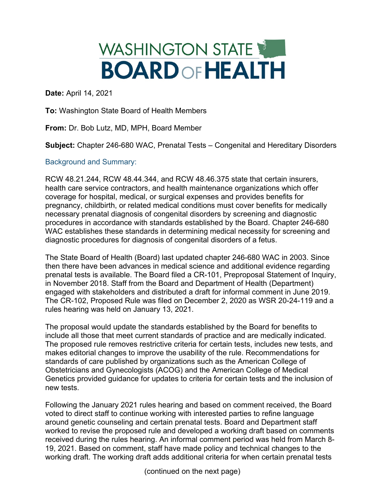## WASHINGTON STATE **BOARDOFHEALTH**

**Date:** April 14, 2021

**To:** Washington State Board of Health Members

**From:** Dr. Bob Lutz, MD, MPH, Board Member

**Subject:** Chapter 246-680 WAC, Prenatal Tests – Congenital and Hereditary Disorders

## Background and Summary:

RCW 48.21.244, RCW 48.44.344, and RCW 48.46.375 state that certain insurers, health care service contractors, and health maintenance organizations which offer coverage for hospital, medical, or surgical expenses and provides benefits for pregnancy, childbirth, or related medical conditions must cover benefits for medically necessary prenatal diagnosis of congenital disorders by screening and diagnostic procedures in accordance with standards established by the Board. Chapter 246-680 WAC establishes these standards in determining medical necessity for screening and diagnostic procedures for diagnosis of congenital disorders of a fetus.

The State Board of Health (Board) last updated chapter 246-680 WAC in 2003. Since then there have been advances in medical science and additional evidence regarding prenatal tests is available. The Board filed a CR-101, Preproposal Statement of Inquiry, in November 2018. Staff from the Board and Department of Health (Department) engaged with stakeholders and distributed a draft for informal comment in June 2019. The CR-102, Proposed Rule was filed on December 2, 2020 as WSR 20-24-119 and a rules hearing was held on January 13, 2021.

The proposal would update the standards established by the Board for benefits to include all those that meet current standards of practice and are medically indicated. The proposed rule removes restrictive criteria for certain tests, includes new tests, and makes editorial changes to improve the usability of the rule. Recommendations for standards of care published by organizations such as the American College of Obstetricians and Gynecologists (ACOG) and the American College of Medical Genetics provided guidance for updates to criteria for certain tests and the inclusion of new tests.

Following the January 2021 rules hearing and based on comment received, the Board voted to direct staff to continue working with interested parties to refine language around genetic counseling and certain prenatal tests. Board and Department staff worked to revise the proposed rule and developed a working draft based on comments received during the rules hearing. An informal comment period was held from March 8- 19, 2021. Based on comment, staff have made policy and technical changes to the working draft. The working draft adds additional criteria for when certain prenatal tests

(continued on the next page)